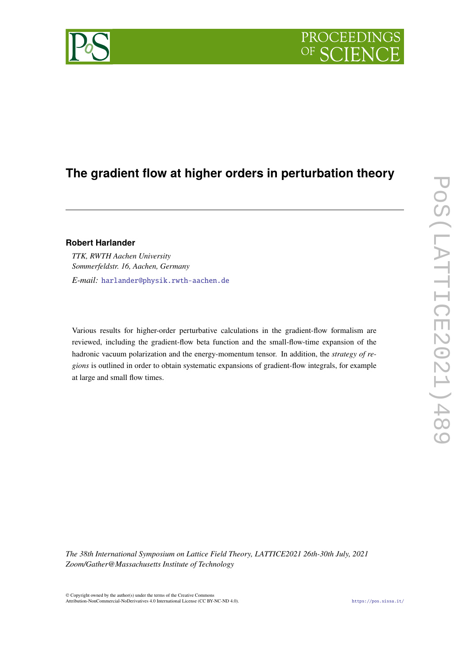# PROCEEDINGS

# **The gradient flow at higher orders in perturbation theory**

## **Robert Harlander**

*TTK, RWTH Aachen University Sommerfeldstr. 16, Aachen, Germany E-mail:* [harlander@physik.rwth-aachen.de](mailto:harlander@physik.rwth-aachen.de)

Various results for higher-order perturbative calculations in the gradient-flow formalism are reviewed, including the gradient-flow beta function and the small-flow-time expansion of the hadronic vacuum polarization and the energy-momentum tensor. In addition, the *strategy of regions* is outlined in order to obtain systematic expansions of gradient-flow integrals, for example at large and small flow times.

*The 38th International Symposium on Lattice Field Theory, LATTICE2021 26th-30th July, 2021 Zoom/Gather@Massachusetts Institute of Technology*

© Copyright owned by the author(s) under the terms of the Creative Commons Attribution-NonCommercial-NoDerivatives 4.0 International License (CC BY-NC-ND 4.0). <https://pos.sissa.it/>

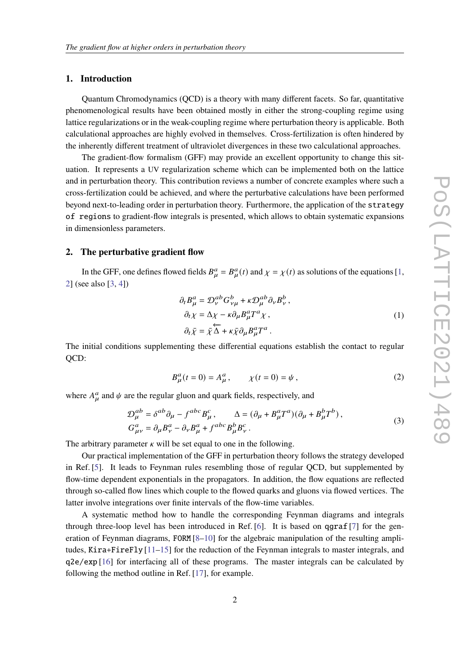#### **1. Introduction**

Quantum Chromodynamics (QCD) is a theory with many different facets. So far, quantitative phenomenological results have been obtained mostly in either the strong-coupling regime using lattice regularizations or in the weak-coupling regime where perturbation theory is applicable. Both calculational approaches are highly evolved in themselves. Cross-fertilization is often hindered by the inherently different treatment of ultraviolet divergences in these two calculational approaches.

The gradient-flow formalism (GFF) may provide an excellent opportunity to change this situation. It represents a UV regularization scheme which can be implemented both on the lattice and in perturbation theory. This contribution reviews a number of concrete examples where such a cross-fertilization could be achieved, and where the perturbative calculations have been performed beyond next-to-leading order in perturbation theory. Furthermore, the application of the strategy of regions to gradient-flow integrals is presented, which allows to obtain systematic expansions in dimensionless parameters.

#### **2. The perturbative gradient flow**

In the GFF, one defines flowed fields  $B_{\mu}^a = B_{\mu}^a(t)$  and  $\chi = \chi(t)$  as solutions of the equations [\[1,](#page-7-0) [2\]](#page-7-1) (see also [\[3,](#page-7-2) [4\]](#page-7-3))

$$
\partial_t B^a_\mu = \mathcal{D}^{ab}_\nu G^b_{\nu\mu} + \kappa \mathcal{D}^{ab}_\mu \partial_\nu B^b_\nu ,
$$
  
\n
$$
\partial_t \chi = \Delta \chi - \kappa \partial_\mu B^a_\mu T^a \chi ,
$$
  
\n
$$
\partial_t \bar{\chi} = \bar{\chi} \overleftarrow{\Delta} + \kappa \bar{\chi} \partial_\mu B^a_\mu T^a .
$$
\n(1)

The initial conditions supplementing these differential equations establish the contact to regular QCD:

$$
B_{\mu}^{a}(t=0) = A_{\mu}^{a}, \qquad \chi(t=0) = \psi, \qquad (2)
$$

where  $A_{\mu}^{a}$  and  $\psi$  are the regular gluon and quark fields, respectively, and

$$
\mathcal{D}_{\mu}^{ab} = \delta^{ab}\partial_{\mu} - f^{abc}B_{\mu}^{c}, \qquad \Delta = (\partial_{\mu} + B_{\mu}^{a}T^{a})(\partial_{\mu} + B_{\mu}^{b}T^{b}),
$$
  
\n
$$
G_{\mu\nu}^{a} = \partial_{\mu}B_{\nu}^{a} - \partial_{\nu}B_{\mu}^{a} + f^{abc}B_{\mu}^{b}B_{\nu}^{c}.
$$
\n(3)

The arbitrary parameter  $\kappa$  will be set equal to one in the following.

Our practical implementation of the GFF in perturbation theory follows the strategy developed in Ref. [\[5\]](#page-7-4). It leads to Feynman rules resembling those of regular QCD, but supplemented by flow-time dependent exponentials in the propagators. In addition, the flow equations are reflected through so-called flow lines which couple to the flowed quarks and gluons via flowed vertices. The latter involve integrations over finite intervals of the flow-time variables.

A systematic method how to handle the corresponding Feynman diagrams and integrals through three-loop level has been introduced in Ref.  $[6]$ . It is based on qgraf  $[7]$  for the generation of Feynman diagrams, FORM  $[8-10]$  $[8-10]$  for the algebraic manipulation of the resulting amplitudes, Kira+FireFly [\[11](#page-7-9)[–15\]](#page-7-10) for the reduction of the Feynman integrals to master integrals, and q2e/exp [\[16\]](#page-7-11) for interfacing all of these programs. The master integrals can be calculated by following the method outline in Ref. [\[17\]](#page-7-12), for example.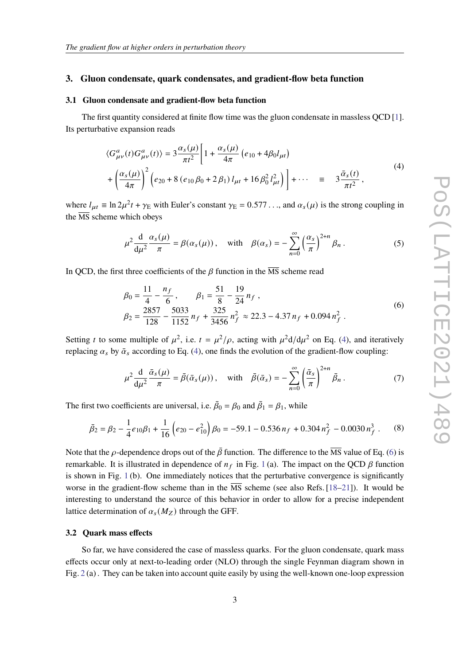#### **3. Gluon condensate, quark condensates, and gradient-flow beta function**

#### **3.1 Gluon condensate and gradient-flow beta function**

The first quantity considered at finite flow time was the gluon condensate in massless QCD [\[1\]](#page-7-0). Its perturbative expansion reads

$$
\langle G_{\mu\nu}^a(t)G_{\mu\nu}^a(t)\rangle = 3\frac{\alpha_s(\mu)}{\pi t^2} \left[1 + \frac{\alpha_s(\mu)}{4\pi} \left(e_{10} + 4\beta_0 l_{\mu t}\right) + \left(\frac{\alpha_s(\mu)}{4\pi}\right)^2 \left(e_{20} + 8\left(e_{10}\beta_0 + 2\beta_1\right) l_{\mu t} + 16\beta_0^2 l_{\mu t}^2\right)\right] + \cdots \equiv 3\frac{\bar{\alpha}_s(t)}{\pi t^2},
$$
\n(4)

<span id="page-2-0"></span>where  $l_{\mu t} \equiv \ln 2\mu^2 t + \gamma_E$  with Euler's constant  $\gamma_E = 0.577...$ , and  $\alpha_s(\mu)$  is the strong coupling in the  $\overline{\text{MS}}$  scheme which obeys

$$
\mu^2 \frac{d}{d\mu^2} \frac{\alpha_s(\mu)}{\pi} = \beta(\alpha_s(\mu)), \quad \text{with} \quad \beta(\alpha_s) = -\sum_{n=0}^{\infty} \left(\frac{\alpha_s}{\pi}\right)^{2+n} \beta_n.
$$
 (5)

<span id="page-2-1"></span>In QCD, the first three coefficients of the  $\beta$  function in the  $\overline{\text{MS}}$  scheme read

$$
\beta_0 = \frac{11}{4} - \frac{n_f}{6}, \qquad \beta_1 = \frac{51}{8} - \frac{19}{24} n_f,
$$
  

$$
\beta_2 = \frac{2857}{128} - \frac{5033}{1152} n_f + \frac{325}{3456} n_f^2 \approx 22.3 - 4.37 n_f + 0.094 n_f^2.
$$
 (6)

Setting t to some multiple of  $\mu^2$ , i.e.  $t = \mu^2/\rho$ , acting with  $\mu^2 d/d\mu^2$  on Eq. [\(4\)](#page-2-0), and iteratively replacing  $\alpha_s$  by  $\bar{\alpha}_s$  according to Eq. [\(4\)](#page-2-0), one finds the evolution of the gradient-flow coupling:

$$
\mu^2 \frac{d}{d\mu^2} \frac{\bar{\alpha}_s(\mu)}{\pi} = \bar{\beta}(\bar{\alpha}_s(\mu)), \quad \text{with} \quad \bar{\beta}(\bar{\alpha}_s) = -\sum_{n=0}^{\infty} \left(\frac{\bar{\alpha}_s}{\pi}\right)^{2+n} \bar{\beta}_n. \tag{7}
$$

The first two coefficients are universal, i.e.  $\bar{\beta}_0 = \beta_0$  and  $\bar{\beta}_1 = \beta_1$ , while

$$
\bar{\beta}_2 = \beta_2 - \frac{1}{4}e_{10}\beta_1 + \frac{1}{16}\left(e_{20} - e_{10}^2\right)\beta_0 = -59.1 - 0.536 n_f + 0.304 n_f^2 - 0.0030 n_f^3 \tag{8}
$$

Note that the  $\rho$ -dependence drops out of the  $\bar{\beta}$  function. The difference to the  $\overline{MS}$  value of Eq. [\(6\)](#page-2-1) is remarkable. It is illustrated in dependence of  $n_f$  in Fig. [1](#page-3-0) (a). The impact on the QCD  $\beta$  function is shown in Fig. [1](#page-3-0) (b). One immediately notices that the perturbative convergence is significantly worse in the gradient-flow scheme than in the  $\overline{MS}$  scheme (see also Refs. [\[18](#page-7-13)[–21\]](#page-8-0)). It would be interesting to understand the source of this behavior in order to allow for a precise independent lattice determination of  $\alpha_s(M_Z)$  through the GFF.

#### **3.2 Quark mass effects**

So far, we have considered the case of massless quarks. For the gluon condensate, quark mass effects occur only at next-to-leading order (NLO) through the single Feynman diagram shown in Fig.  $2(a)$  $2(a)$ . They can be taken into account quite easily by using the well-known one-loop expression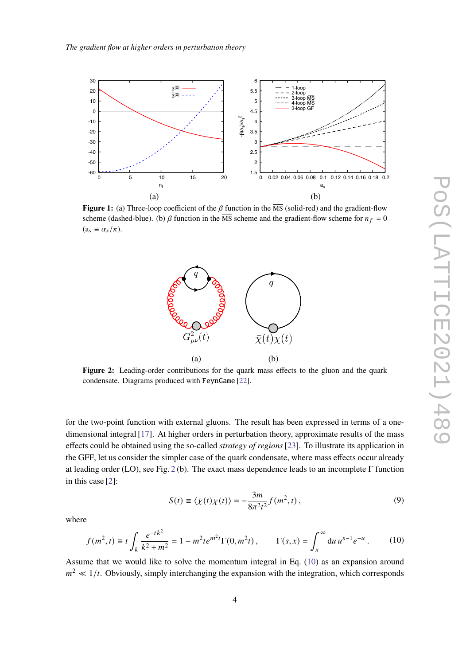<span id="page-3-0"></span>

<span id="page-3-1"></span>**Figure 1:** (a) Three-loop coefficient of the  $\beta$  function in the  $\overline{MS}$  (solid-red) and the gradient-flow scheme (dashed-blue). (b)  $\beta$  function in the  $\overline{MS}$  scheme and the gradient-flow scheme for  $n_f = 0$  $(a_s \equiv \alpha_s/\pi)$ .



**Figure 2:** Leading-order contributions for the quark mass effects to the gluon and the quark condensate. Diagrams produced with FeynGame [\[22\]](#page-8-1).

for the two-point function with external gluons. The result has been expressed in terms of a onedimensional integral [\[17\]](#page-7-12). At higher orders in perturbation theory, approximate results of the mass effects could be obtained using the so-called *strategy of regions*[\[23\]](#page-8-2). To illustrate its application in the GFF, let us consider the simpler case of the quark condensate, where mass effects occur already at leading order (LO), see Fig. [2](#page-3-1) (b). The exact mass dependence leads to an incomplete Γ function in this case [\[2\]](#page-7-1):

$$
S(t) \equiv \langle \bar{\chi}(t)\chi(t) \rangle = -\frac{3m}{8\pi^2 t^2} f(m^2, t), \qquad (9)
$$

<span id="page-3-2"></span>where

$$
f(m^2, t) \equiv t \int_k \frac{e^{-tk^2}}{k^2 + m^2} = 1 - m^2 t e^{-kt} \Gamma(0, m^2 t), \qquad \Gamma(s, x) = \int_x^{\infty} du \, u^{s-1} e^{-u} \,. \tag{10}
$$

Assume that we would like to solve the momentum integral in Eq. [\(10\)](#page-3-2) as an expansion around  $m^2 \ll 1/t$ . Obviously, simply interchanging the expansion with the integration, which corresponds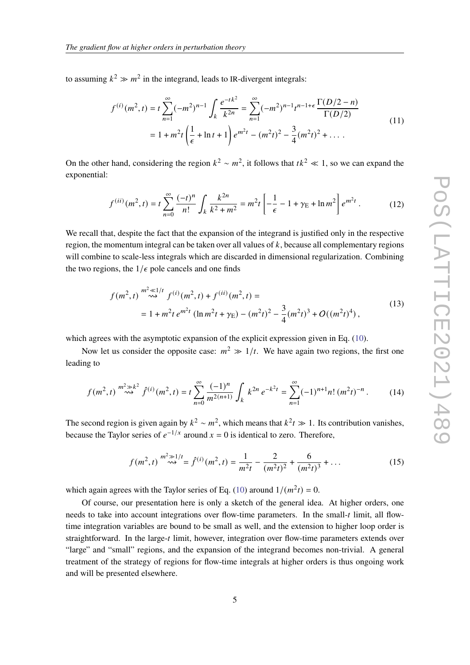to assuming  $k^2 \gg m^2$  in the integrand, leads to IR-divergent integrals:

$$
f^{(i)}(m^2, t) = t \sum_{n=1}^{\infty} (-m^2)^{n-1} \int_k \frac{e^{-tk^2}}{k^{2n}} = \sum_{n=1}^{\infty} (-m^2)^{n-1} t^{n-1+\epsilon} \frac{\Gamma(D/2 - n)}{\Gamma(D/2)}
$$
  
=  $1 + m^2 t \left(\frac{1}{\epsilon} + \ln t + 1\right) e^{m^2 t} - (m^2 t)^2 - \frac{3}{4} (m^2 t)^2 + \dots$  (11)

On the other hand, considering the region  $k^2 \sim m^2$ , it follows that  $tk^2 \ll 1$ , so we can expand the exponential:

$$
f^{(ii)}(m^2, t) = t \sum_{n=0}^{\infty} \frac{(-t)^n}{n!} \int_k \frac{k^{2n}}{k^2 + m^2} = m^2 t \left[ -\frac{1}{\epsilon} - 1 + \gamma_E + \ln m^2 \right] e^{m^2 t} . \tag{12}
$$

We recall that, despite the fact that the expansion of the integrand is justified only in the respective region, the momentum integral can be taken over all values of  $k$ , because all complementary regions will combine to scale-less integrals which are discarded in dimensional regularization. Combining the two regions, the  $1/\epsilon$  pole cancels and one finds

$$
f(m^2, t) \stackrel{m^2 \ll 1/t}{\sim} f^{(i)}(m^2, t) + f^{(ii)}(m^2, t) =
$$
  
= 1 + m^2 t e^{m^2 t} (\ln m^2 t + \gamma\_E) - (m^2 t)^2 - \frac{3}{4} (m^2 t)^3 + O((m^2 t)^4), \t(13)

which agrees with the asymptotic expansion of the explicit expression given in Eq. [\(10\)](#page-3-2).

Now let us consider the opposite case:  $m^2 \gg 1/t$ . We have again two regions, the first one leading to

$$
f(m^2, t) \stackrel{m^2 \gg k^2}{\sim} \hat{f}^{(i)}(m^2, t) = t \sum_{n=0}^{\infty} \frac{(-1)^n}{m^{2(n+1)}} \int_k k^{2n} e^{-k^2 t} = \sum_{n=1}^{\infty} (-1)^{n+1} n! \left( m^2 t \right)^{-n} . \tag{14}
$$

The second region is given again by  $k^2 \sim m^2$ , which means that  $k^2 t \gg 1$ . Its contribution vanishes, because the Taylor series of  $e^{-1/x}$  around  $x = 0$  is identical to zero. Therefore,

$$
f(m^2, t) \stackrel{m^2 \gg 1/t}{\sim} = \hat{f}^{(i)}(m^2, t) = \frac{1}{m^2 t} - \frac{2}{(m^2 t)^2} + \frac{6}{(m^2 t)^3} + \dots
$$
 (15)

which again agrees with the Taylor series of Eq. [\(10\)](#page-3-2) around  $1/(m^2t) = 0$ .

Of course, our presentation here is only a sketch of the general idea. At higher orders, one needs to take into account integrations over flow-time parameters. In the small-t limit, all flowtime integration variables are bound to be small as well, and the extension to higher loop order is straightforward. In the large- $t$  limit, however, integration over flow-time parameters extends over "large" and "small" regions, and the expansion of the integrand becomes non-trivial. A general treatment of the strategy of regions for flow-time integrals at higher orders is thus ongoing work and will be presented elsewhere.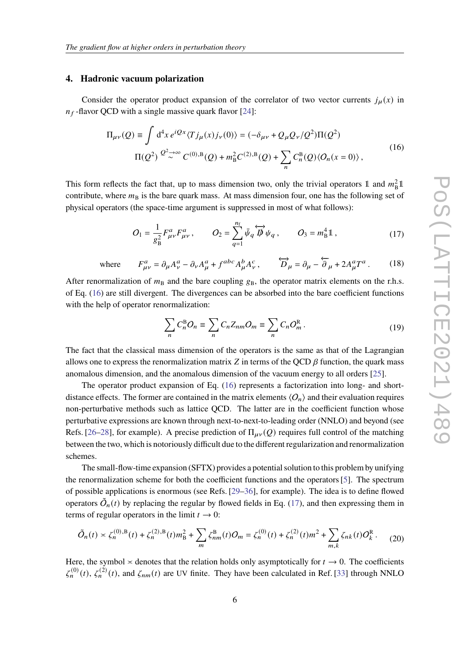#### **4. Hadronic vacuum polarization**

Consider the operator product expansion of the correlator of two vector currents  $j_\mu(x)$  in  $n_f$ -flavor QCD with a single massive quark flavor [\[24\]](#page-8-3):

$$
\Pi_{\mu\nu}(Q) \equiv \int d^4x \, e^{iQx} \langle T j_\mu(x) j_\nu(0) \rangle = (-\delta_{\mu\nu} + Q_\mu Q_\nu / Q^2) \Pi(Q^2)
$$
\n
$$
\Pi(Q^2) \stackrel{Q^2 \to \infty}{\sim} C^{(0),B}(Q) + m_B^2 C^{(2),B}(Q) + \sum_n C_n^B(Q) \langle O_n(x=0) \rangle \,, \tag{16}
$$

<span id="page-5-0"></span>This form reflects the fact that, up to mass dimension two, only the trivial operators 1 and  $m<sub>B</sub><sup>2</sup>1$ contribute, where  $m_B$  is the bare quark mass. At mass dimension four, one has the following set of physical operators (the space-time argument is suppressed in most of what follows):

$$
O_1 = \frac{1}{g_B^2} F_{\mu\nu}^a F_{\mu\nu}^a, \qquad O_2 = \sum_{q=1}^{n_f} \bar{\psi}_q \overleftrightarrow{D} \psi_q, \qquad O_3 = m_B^4 \mathbb{1}, \qquad (17)
$$

<span id="page-5-1"></span>where 
$$
F_{\mu\nu}^a = \partial_\mu A_\nu^a - \partial_\nu A_\mu^a + f^{abc} A_\mu^b A_\nu^c
$$
,  $\overleftrightarrow{D}_\mu = \partial_\mu - \overleftrightarrow{\partial}_\mu + 2A_\mu^a T^a$ . (18)

After renormalization of  $m<sub>B</sub>$  and the bare coupling  $g<sub>B</sub>$ , the operator matrix elements on the r.h.s. of Eq. [\(16\)](#page-5-0) are still divergent. The divergences can be absorbed into the bare coefficient functions with the help of operator renormalization:

$$
\sum_{n} C_n^{\text{B}} O_n \equiv \sum_{n} C_n Z_{nm} O_m \equiv \sum_{n} C_n O_m^{\text{R}}.
$$
\n(19)

The fact that the classical mass dimension of the operators is the same as that of the Lagrangian allows one to express the renormalization matrix  $Z$  in terms of the QCD  $\beta$  function, the quark mass anomalous dimension, and the anomalous dimension of the vacuum energy to all orders [\[25\]](#page-8-4).

The operator product expansion of Eq. [\(16\)](#page-5-0) represents a factorization into long- and shortdistance effects. The former are contained in the matrix elements  $\langle O_n \rangle$  and their evaluation requires non-perturbative methods such as lattice QCD. The latter are in the coefficient function whose perturbative expressions are known through next-to-next-to-leading order (NNLO) and beyond (see Refs. [\[26](#page-8-5)[–28\]](#page-8-6), for example). A precise prediction of  $\Pi_{\mu\nu}(Q)$  requires full control of the matching between the two, which is notoriously difficult due to the different regularization and renormalization schemes.

The small-flow-time expansion (SFTX) provides a potential solution to this problem by unifying the renormalization scheme for both the coefficient functions and the operators [\[5\]](#page-7-4). The spectrum of possible applications is enormous (see Refs. [\[29–](#page-8-7)[36\]](#page-8-8), for example). The idea is to define flowed operators  $\tilde{O}_n(t)$  by replacing the regular by flowed fields in Eq. [\(17\)](#page-5-1), and then expressing them in terms of regular operators in the limit  $t \to 0$ :

<span id="page-5-2"></span>
$$
\tilde{O}_n(t) \asymp \zeta_n^{(0),B}(t) + \zeta_n^{(2),B}(t)m_B^2 + \sum_m \zeta_{nm}^B(t)O_m = \zeta_n^{(0)}(t) + \zeta_n^{(2)}(t)m^2 + \sum_{m,k} \zeta_{nk}(t)O_k^R. \tag{20}
$$

Here, the symbol  $\times$  denotes that the relation holds only asymptotically for  $t \to 0$ . The coefficients  $\zeta_n^{(0)}(t)$ ,  $\zeta_n^{(2)}(t)$ , and  $\zeta_{nm}(t)$  are UV finite. They have been calculated in Ref. [\[33\]](#page-8-9) through NNLO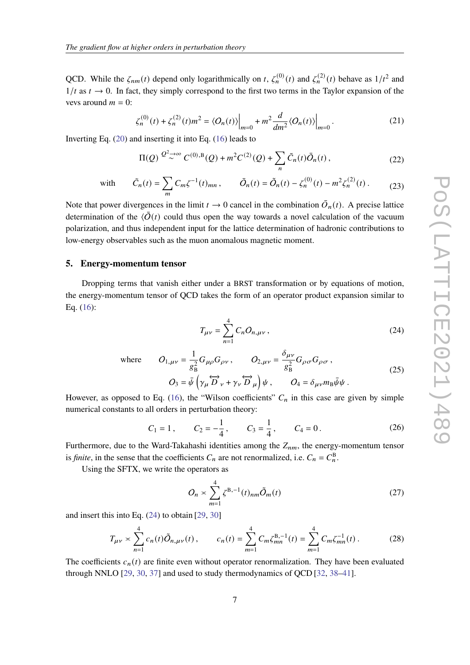QCD. While the  $\zeta_{nm}(t)$  depend only logarithmically on t,  $\zeta_n^{(0)}(t)$  and  $\zeta_n^{(2)}(t)$  behave as  $1/t^2$  and  $1/t$  as  $t \to 0$ . In fact, they simply correspond to the first two terms in the Taylor expansion of the vevs around  $m = 0$ :

$$
\zeta_n^{(0)}(t) + \zeta_n^{(2)}(t)m^2 = \langle O_n(t) \rangle \Big|_{m=0} + m^2 \frac{d}{dm^2} \langle O_n(t) \rangle \Big|_{m=0}.
$$
 (21)

Inverting Eq. [\(20\)](#page-5-2) and inserting it into Eq. [\(16\)](#page-5-0) leads to

$$
\Pi(Q) \stackrel{Q^2 \to \infty}{\sim} C^{(0),B}(Q) + m^2 C^{(2)}(Q) + \sum_n \tilde{C}_n(t) \bar{O}_n(t) ,
$$
\n(22)

with 
$$
\tilde{C}_n(t) = \sum_m C_m \zeta^{-1}(t)_{mn}
$$
,  $\bar{O}_n(t) = \tilde{O}_n(t) - \zeta_n^{(0)}(t) - m^2 \zeta_n^{(2)}(t)$ . (23)

Note that power divergences in the limit  $t \to 0$  cancel in the combination  $\overline{O}_n(t)$ . A precise lattice determination of the  $\langle \bar{O}(t) \rangle$  could thus open the way towards a novel calculation of the vacuum polarization, and thus independent input for the lattice determination of hadronic contributions to low-energy observables such as the muon anomalous magnetic moment.

#### **5. Energy-momentum tensor**

<span id="page-6-0"></span>Dropping terms that vanish either under a BRST transformation or by equations of motion, the energy-momentum tensor of QCD takes the form of an operator product expansion similar to Eq. [\(16\)](#page-5-0):

1

$$
T_{\mu\nu} = \sum_{n=1}^{4} C_n O_{n,\mu\nu},
$$
\n(24)

 $wh$ 

ere 
$$
O_{1,\mu\nu} = \frac{1}{g_B^2} G_{\mu\rho} G_{\rho\nu}, \qquad O_{2,\mu\nu} = \frac{\delta_{\mu\nu}}{g_B^2} G_{\rho\sigma} G_{\rho\sigma},
$$

$$
O_3 = \bar{\psi} \left( \gamma_\mu \overleftrightarrow{D}_\nu + \gamma_\nu \overleftrightarrow{D}_\mu \right) \psi, \qquad O_4 = \delta_{\mu\nu} m_B \bar{\psi} \psi.
$$
(25)

However, as opposed to Eq. [\(16\)](#page-5-0), the "Wilson coefficients"  $C_n$  in this case are given by simple numerical constants to all orders in perturbation theory:

$$
C_1 = 1
$$
,  $C_2 = -\frac{1}{4}$ ,  $C_3 = \frac{1}{4}$ ,  $C_4 = 0$ . (26)

Furthermore, due to the Ward-Takahashi identities among the  $Z_{nm}$ , the energy-momentum tensor is *finite*, in the sense that the coefficients  $C_n$  are not renormalized, i.e.  $C_n = C_n^B$ .

Using the SFTX, we write the operators as

$$
O_n \asymp \sum_{m=1}^4 \zeta^{B,-1}(t)_{nm} \tilde{O}_m(t) \tag{27}
$$

and insert this into Eq. [\(24\)](#page-6-0) to obtain [\[29,](#page-8-7) [30\]](#page-8-10)

$$
T_{\mu\nu} \approx \sum_{n=1}^{4} c_n(t)\tilde{O}_{n,\mu\nu}(t), \qquad c_n(t) = \sum_{m=1}^{4} C_m \zeta_{mn}^{B,-1}(t) = \sum_{m=1}^{4} C_m \zeta_{mn}^{-1}(t).
$$
 (28)

The coefficients  $c_n(t)$  are finite even without operator renormalization. They have been evaluated through NNLO [\[29,](#page-8-7) [30,](#page-8-10) [37\]](#page-8-11) and used to study thermodynamics of QCD [\[32,](#page-8-12) [38–](#page-8-13)[41\]](#page-8-14).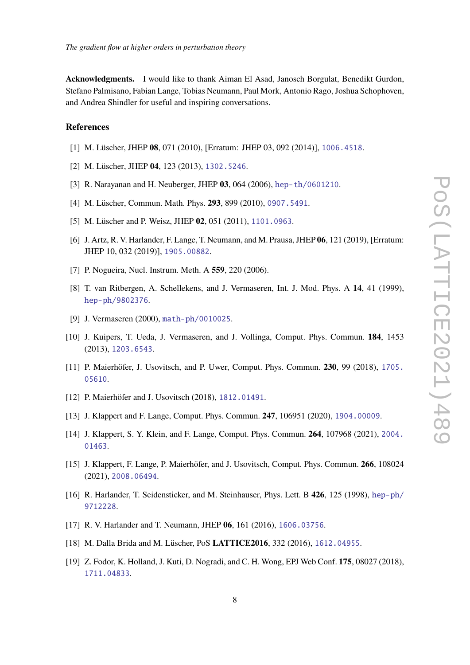**Acknowledgments.** I would like to thank Aiman El Asad, Janosch Borgulat, Benedikt Gurdon, Stefano Palmisano, Fabian Lange, Tobias Neumann, Paul Mork, Antonio Rago, Joshua Schophoven, and Andrea Shindler for useful and inspiring conversations.

### **References**

- <span id="page-7-0"></span>[1] M. Lüscher, JHEP **08**, 071 (2010), [Erratum: JHEP 03, 092 (2014)], <1006.4518>.
- <span id="page-7-1"></span>[2] M. Lüscher, JHEP **04**, 123 (2013), <1302.5246>.
- <span id="page-7-2"></span>[3] R. Narayanan and H. Neuberger, JHEP **03**, 064 (2006), <hep-th/0601210>.
- <span id="page-7-3"></span>[4] M. Lüscher, Commun. Math. Phys. **293**, 899 (2010), <0907.5491>.
- <span id="page-7-4"></span>[5] M. Lüscher and P. Weisz, JHEP **02**, 051 (2011), <1101.0963>.
- <span id="page-7-5"></span>[6] J. Artz, R. V. Harlander, F. Lange, T. Neumann, and M. Prausa, JHEP **06**, 121 (2019), [Erratum: JHEP 10, 032 (2019)], <1905.00882>.
- <span id="page-7-6"></span>[7] P. Nogueira, Nucl. Instrum. Meth. A **559**, 220 (2006).
- <span id="page-7-7"></span>[8] T. van Ritbergen, A. Schellekens, and J. Vermaseren, Int. J. Mod. Phys. A **14**, 41 (1999), <hep-ph/9802376>.
- [9] J. Vermaseren (2000), <math-ph/0010025>.
- <span id="page-7-8"></span>[10] J. Kuipers, T. Ueda, J. Vermaseren, and J. Vollinga, Comput. Phys. Commun. **184**, 1453 (2013), <1203.6543>.
- <span id="page-7-9"></span>[11] P. Maierhöfer, J. Usovitsch, and P. Uwer, Comput. Phys. Commun. **230**, 99 (2018), [1705.](1705.05610) [05610](1705.05610).
- [12] P. Maierhöfer and J. Usovitsch (2018), <1812.01491>.
- [13] J. Klappert and F. Lange, Comput. Phys. Commun. **247**, 106951 (2020), <1904.00009>.
- [14] J. Klappert, S. Y. Klein, and F. Lange, Comput. Phys. Commun. **264**, 107968 (2021), [2004.](2004.01463) [01463](2004.01463).
- <span id="page-7-10"></span>[15] J. Klappert, F. Lange, P. Maierhöfer, and J. Usovitsch, Comput. Phys. Commun. **266**, 108024 (2021), <2008.06494>.
- <span id="page-7-11"></span>[16] R. Harlander, T. Seidensticker, and M. Steinhauser, Phys. Lett. B **426**, 125 (1998), [hep-ph/](hep-ph/9712228) [9712228](hep-ph/9712228).
- <span id="page-7-12"></span>[17] R. V. Harlander and T. Neumann, JHEP **06**, 161 (2016), <1606.03756>.
- <span id="page-7-13"></span>[18] M. Dalla Brida and M. Lüscher, PoS **LATTICE2016**, 332 (2016), <1612.04955>.
- [19] Z. Fodor, K. Holland, J. Kuti, D. Nogradi, and C. H. Wong, EPJ Web Conf. **175**, 08027 (2018), <1711.04833>.